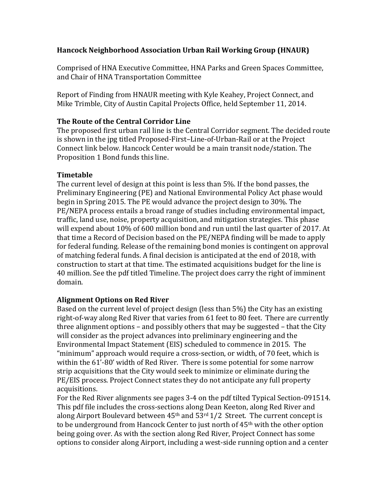### **Hancock'Neighborhood'Association'Urban'Rail'Working'Group (HNAUR)**

Comprised of HNA Executive Committee, HNA Parks and Green Spaces Committee, and Chair of HNA Transportation Committee

Report of Finding from HNAUR meeting with Kyle Keahey, Project Connect, and Mike Trimble, City of Austin Capital Projects Office, held September 11, 2014.

### **The Route of the Central Corridor Line**

The proposed first urban rail line is the Central Corridor segment. The decided route is shown in the jpg titled Proposed-First–Line-of-Urban-Rail or at the Project Connect link below. Hancock Center would be a main transit node/station. The Proposition 1 Bond funds this line.

### **Timetable'**

The current level of design at this point is less than 5%. If the bond passes, the Preliminary Engineering (PE) and National Environmental Policy Act phase would begin in Spring 2015. The PE would advance the project design to 30%. The PE/NEPA process entails a broad range of studies including environmental impact, traffic, land use, noise, property acquisition, and mitigation strategies. This phase will expend about 10% of 600 million bond and run until the last quarter of 2017. At that time a Record of Decision based on the PE/NEPA finding will be made to apply for federal funding. Release of the remaining bond monies is contingent on approval of matching federal funds. A final decision is anticipated at the end of 2018, with construction to start at that time. The estimated acquisitions budget for the line is 40 million. See the pdf titled Timeline. The project does carry the right of imminent domain.

# **Alignment Options on Red River**

Based on the current level of project design (less than 5%) the City has an existing right-of-way along Red River that varies from 61 feet to 80 feet. There are currently three alignment options – and possibly others that may be suggested – that the City will consider as the project advances into preliminary engineering and the Environmental Impact Statement (EIS) scheduled to commence in 2015. The "minimum" approach would require a cross-section, or width, of 70 feet, which is within the 61'-80' width of Red River. There is some potential for some narrow strip acquisitions that the City would seek to minimize or eliminate during the PE/EIS process. Project Connect states they do not anticipate any full property acquisitions.

For the Red River alignments see pages 3-4 on the pdf tilted Typical Section-091514. This pdf file includes the cross-sections along Dean Keeton, along Red River and along Airport Boulevard between  $45<sup>th</sup>$  and  $53<sup>rd</sup>$  1/2 Street. The current concept is to be underground from Hancock Center to just north of 45<sup>th</sup> with the other option being going over. As with the section along Red River, Project Connect has some options to consider along Airport, including a west-side running option and a center